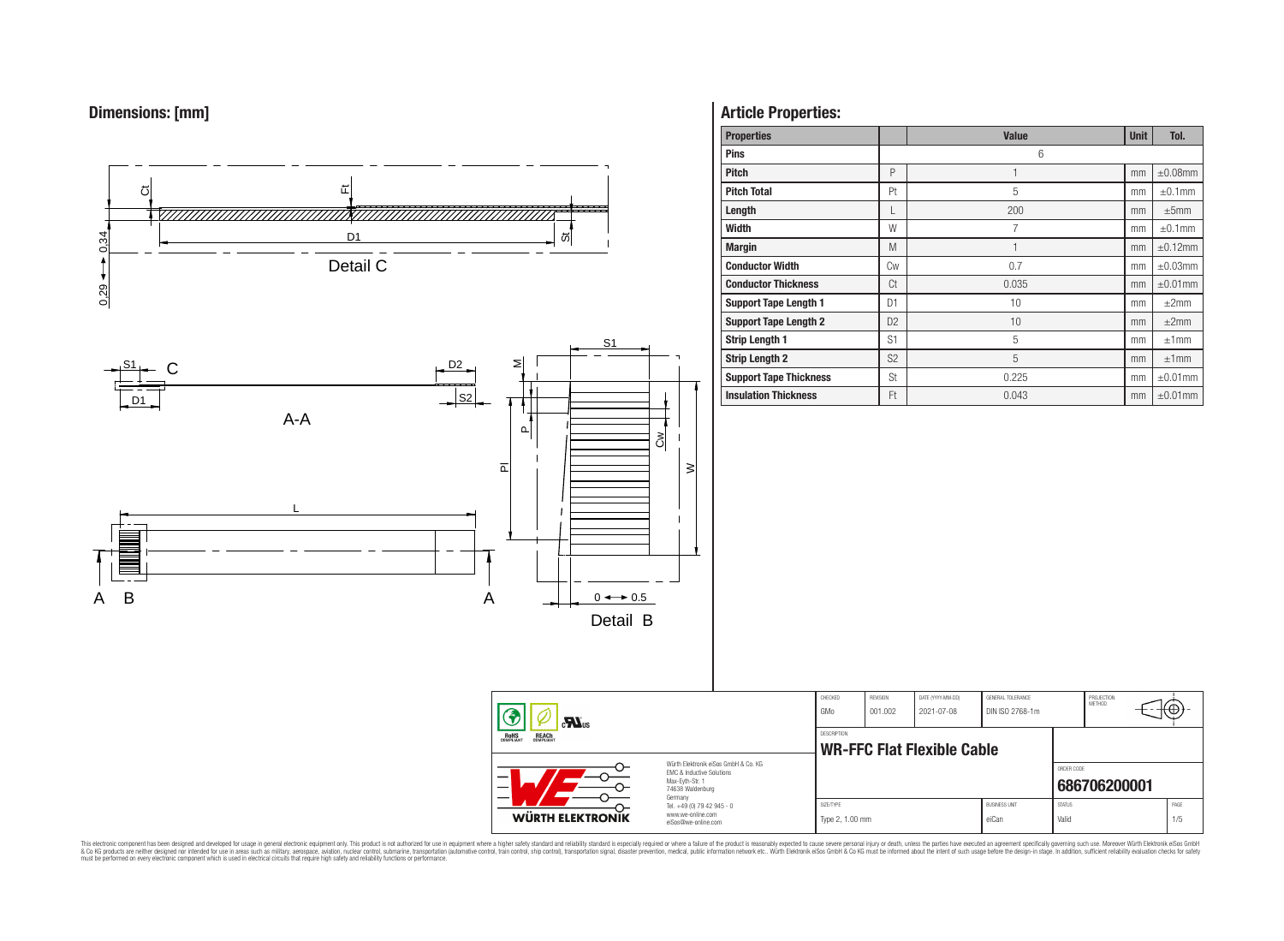# **Dimensions: [mm]**



# **Article Properties:**

| <b>Properties</b>             |                | <b>Value</b> | <b>Unit</b> | Tol.          |
|-------------------------------|----------------|--------------|-------------|---------------|
| <b>Pins</b>                   |                | 6            |             |               |
| <b>Pitch</b>                  | P              | 1            | mm          | $\pm 0.08$ mm |
| <b>Pitch Total</b>            | Pt             | 5            | mm          | $\pm 0.1$ mm  |
| Length                        | L              | 200          | mm          | ±5mm          |
| Width                         | W              | 7            | mm          | $\pm 0.1$ mm  |
| <b>Margin</b>                 | M              | 1            | mm          | $\pm 0.12$ mm |
| <b>Conductor Width</b>        | Cw             | 0.7          | mm          | $\pm 0.03$ mm |
| <b>Conductor Thickness</b>    | Ct             | 0.035        | mm          | $\pm 0.01$ mm |
| <b>Support Tape Length 1</b>  | D <sub>1</sub> | 10           | mm          | $\pm 2$ mm    |
| <b>Support Tape Length 2</b>  | D <sub>2</sub> | 10           | mm          | ±2mm          |
| <b>Strip Length 1</b>         | S1             | 5            | mm          | ±1mm          |
| <b>Strip Length 2</b>         | S <sub>2</sub> | 5            | mm          | ±1mm          |
| <b>Support Tape Thickness</b> | <b>St</b>      | 0.225        | mm          | $\pm 0.01$ mm |
| <b>Insulation Thickness</b>   | Ft             | 0.043        | mm          | $\pm 0.01$ mm |

PROJECTION<br>METHOD

⊕

**[686706200001](https://www.we-online.com/catalog/en/article/686706200001)**

ORDER CODE

This electronic component has been designed and developed for usage in general electronic equipment only. This product is not authorized for subserved requipment where a higher selection equipment where a higher selection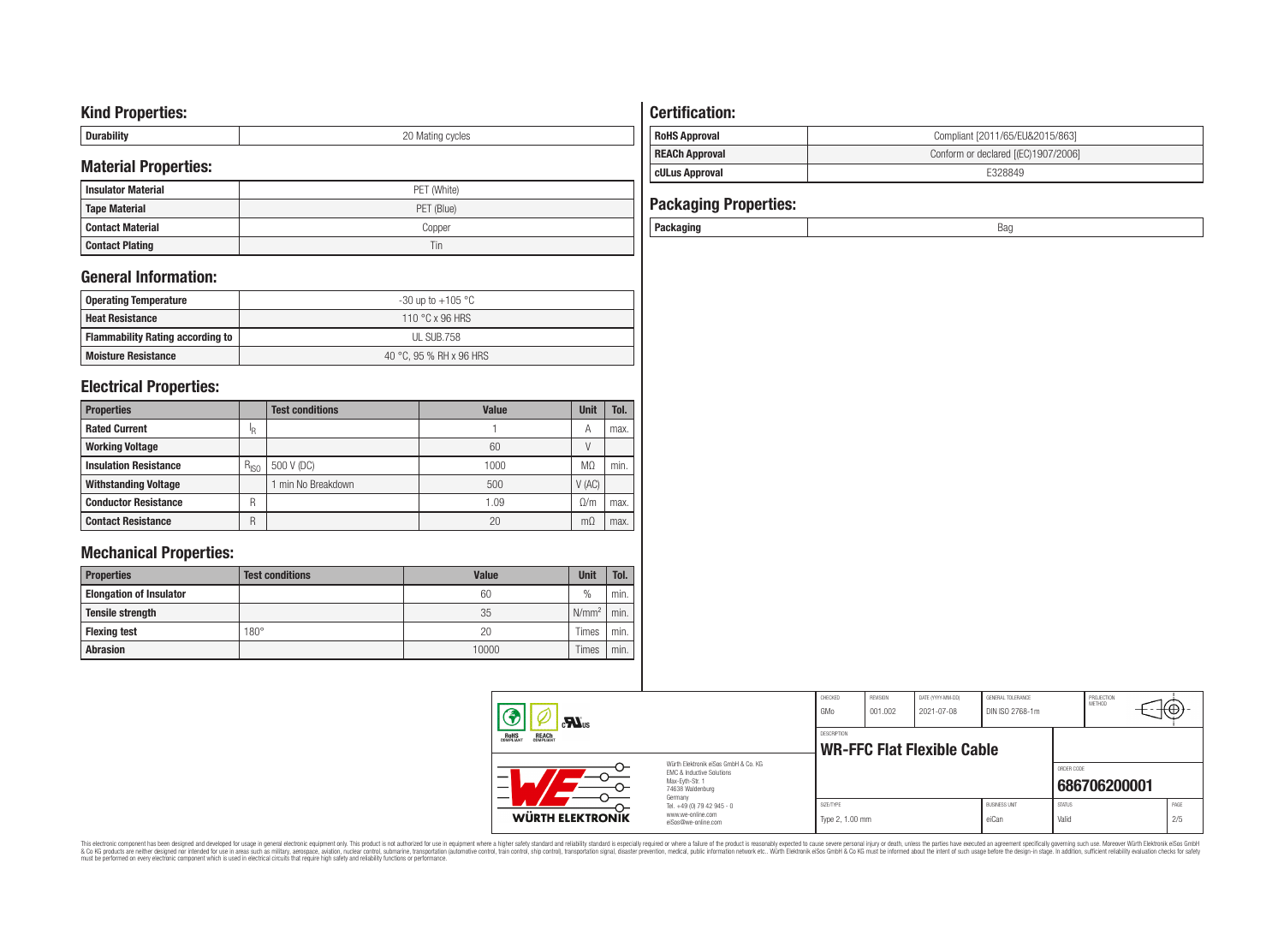# **Kind Properties:**

| <b>Duruping</b> | ററ<br>20 Mating cycles |
|-----------------|------------------------|

# **Material Properties:**

| <b>Insulator Material</b> | PET (White) |
|---------------------------|-------------|
| <b>Tape Material</b>      | PET (Blue)  |
| <b>Contact Material</b>   | Copper      |
| <b>Contact Plating</b>    | Tin         |

# **General Information:**

| Operating Temperature                   | -30 up to +105 $^{\circ}$ C |
|-----------------------------------------|-----------------------------|
| <b>Heat Resistance</b>                  | 110 °C x 96 HRS             |
| <b>Flammability Rating according to</b> | UL SUB.758                  |
| <b>Moisture Resistance</b>              | 40 °C, 95 % RH x 96 HRS     |

# **Electrical Properties:**

| <b>Properties</b>            |           | <b>Test conditions</b> | <b>Value</b> | Unit      | Tol. |
|------------------------------|-----------|------------------------|--------------|-----------|------|
| <b>Rated Current</b>         | ΙR        |                        |              | A         | max. |
| <b>Working Voltage</b>       |           |                        | 60           |           |      |
| <b>Insulation Resistance</b> | $R_{ISO}$ | 500 V (DC)             | 1000         | MΩ        | min. |
| <b>Withstanding Voltage</b>  |           | min No Breakdown       | 500          | V(AC)     |      |
| <b>Conductor Resistance</b>  | R         |                        | 1.09         | 0/m       | max. |
| <b>Contact Resistance</b>    | R         |                        | 20           | $m\Omega$ | max. |

# **Mechanical Properties:**

| <b>Properties</b>              | <b>Test conditions</b> | Value | <b>Unit</b>       | Tol. |
|--------------------------------|------------------------|-------|-------------------|------|
| <b>Elongation of Insulator</b> |                        | 60    | $\frac{0}{0}$     | min. |
| <b>Tensile strength</b>        |                        | 35    | N/mm <sup>2</sup> | min. |
| <b>Flexing test</b>            | $180^\circ$            | 20    | Times             | min. |
| <b>Abrasion</b>                |                        | 10000 | Times             | min. |

# **Certification: RoHS Approval RoHS Approval Compliant** [2011/65/EU&2015/863] **REACh Approval REACh Approval Conform or declared [(EC)1907/2006]**

# **cULus Approval E328849**

| <b>Packaging Properties:</b> |     |
|------------------------------|-----|
| Packaging                    | Bag |

| $\mathbf{r}$                                                                                                                                                                 |                                                   | CHECKED<br>GMo               | <b>REVISION</b><br>001.002 | DATE (YYYY-MM-DD)<br>2021-07-08 | <b>GENERAL TOLERANCE</b><br>DIN ISO 2768-1m |                        | PROJECTION<br><b>METHOD</b> | ⊣t₩∗        |
|------------------------------------------------------------------------------------------------------------------------------------------------------------------------------|---------------------------------------------------|------------------------------|----------------------------|---------------------------------|---------------------------------------------|------------------------|-----------------------------|-------------|
| <b>REACH</b><br>COMPLIANT<br><b>ROHS</b><br>COMPLIANT<br>Würth Elektronik eiSos GmbH & Co. KG<br>FMC & Inductive Solutions<br>Max-Eyth-Str. 1<br>74638 Waldenburg<br>Germany |                                                   | <b>DESCRIPTION</b>           |                            | WR-FFC Flat Flexible Cable      |                                             |                        |                             |             |
|                                                                                                                                                                              |                                                   |                              |                            |                                 |                                             | ORDER CODE             | 686706200001                |             |
| www.we-online.com<br>WÜRTH ELEKTRONIK                                                                                                                                        | Tel. +49 (0) 79 42 945 - 0<br>eiSos@we-online.com | SIZE/TYPE<br>Type 2, 1.00 mm |                            |                                 | <b>BUSINESS UNIT</b><br>eiCan               | <b>STATUS</b><br>Valid |                             | PAGE<br>2/5 |

This electronic component has been designed and developed for usage in general electronic equipment only. This product is not authorized for subserved requipment where a higher selection equipment where a higher selection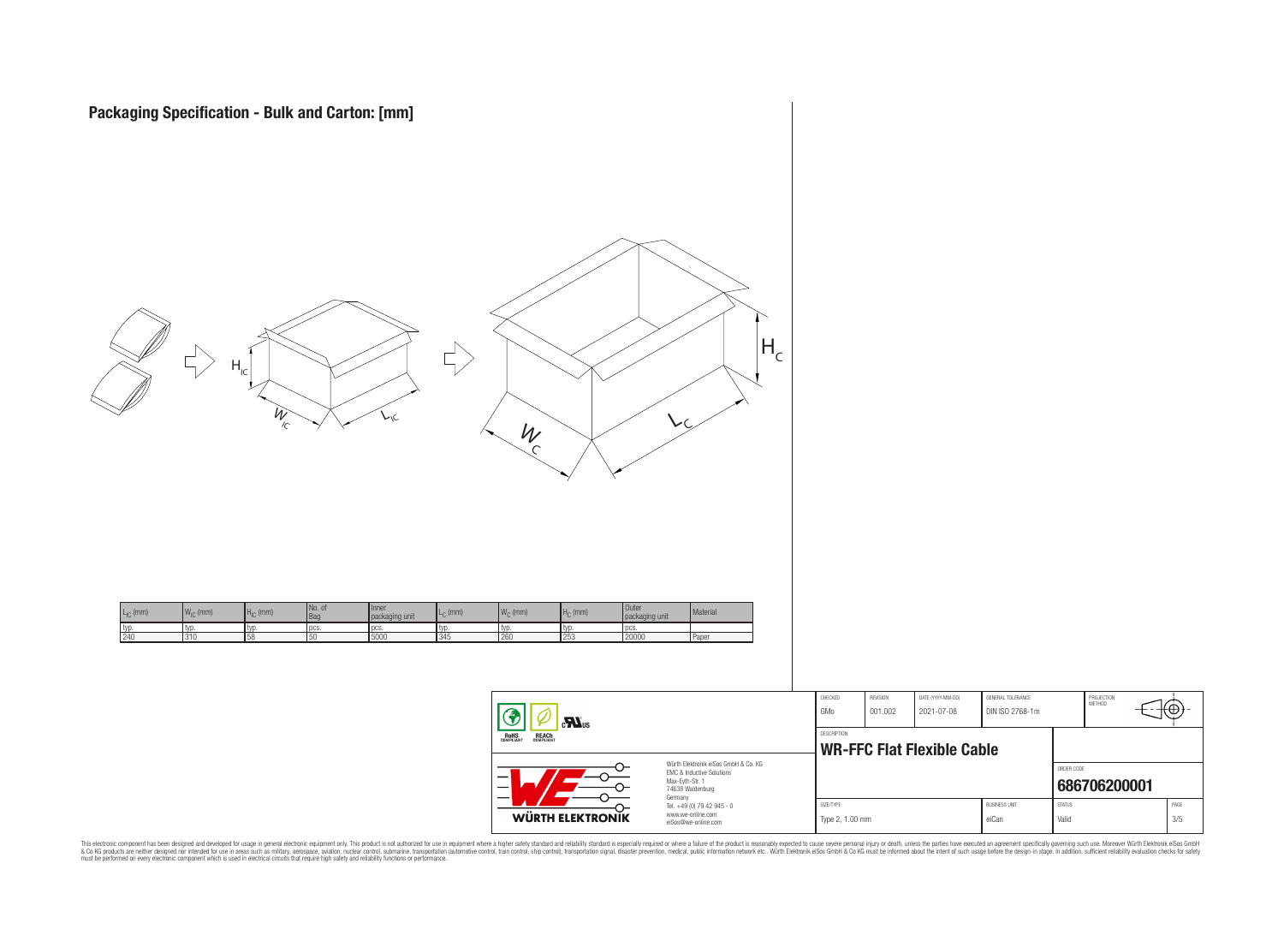

| <b>WÜRTH ELEKTRONIK</b>                    | Tel. +49 (0) 79 42 945 - 0<br>www.we-online.com<br>eiSos@we-online.com                                              | SIZE/TYPE<br>Type 2, 1.00 mm |                     |                                 | <b>BUSINESS UNIT</b><br>eiCan        | <b>STATUS</b><br>Valid |                      | PAGE<br>3/5 |  |
|--------------------------------------------|---------------------------------------------------------------------------------------------------------------------|------------------------------|---------------------|---------------------------------|--------------------------------------|------------------------|----------------------|-------------|--|
|                                            | Würth Elektronik eiSos GmbH & Co. KG<br>FMC & Inductive Solutions<br>Max-Evth-Str. 1<br>74638 Waldenburg<br>Germany |                              |                     |                                 |                                      | ORDER CODE             | 686706200001         |             |  |
| )HS<br>Pliant<br><b>REACH</b><br>COMPLIANT |                                                                                                                     | <b>DESCRIPTION</b>           |                     | WR-FFC Flat Flexible Cable      |                                      |                        |                      |             |  |
| 4<br>$\mathbf{M}$ <sub>us</sub>            |                                                                                                                     | CHECKED<br>GMo               | REVISION<br>001.002 | DATE (YYYY-MM-DD)<br>2021-07-08 | GENERAL TOLERANCE<br>DIN ISO 2768-1m |                        | PROJECTION<br>METHOD | √⊕→         |  |

This electronic component has been designed and developed for usage in general electronic equipment only. This product is not authorized for subserved requipment where a higher selection equipment where a higher selection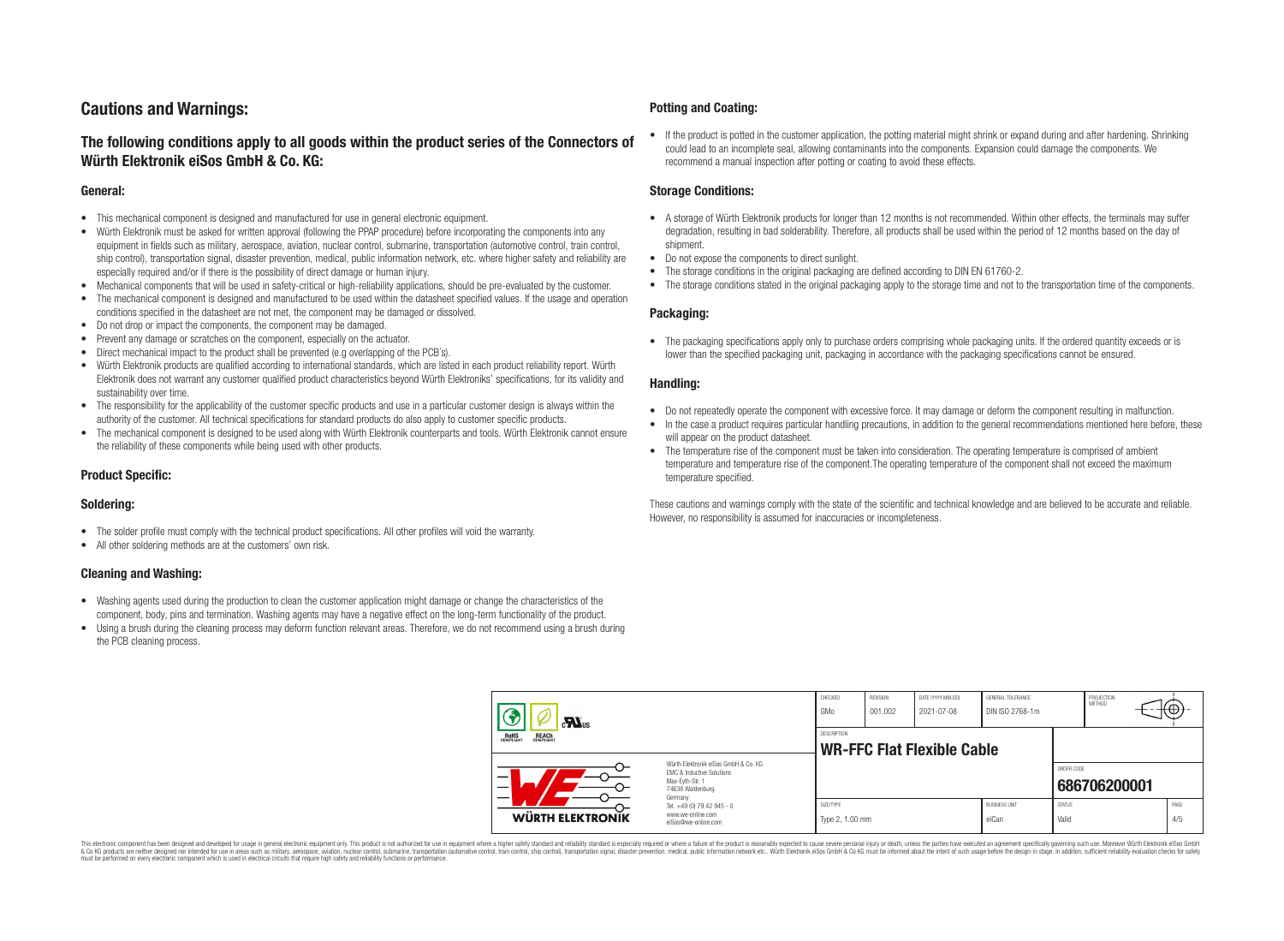# **Cautions and Warnings:**

# **The following conditions apply to all goods within the product series of the Connectors of Würth Elektronik eiSos GmbH & Co. KG:**

#### **General:**

- This mechanical component is designed and manufactured for use in general electronic equipment.
- Würth Elektronik must be asked for written approval (following the PPAP procedure) before incorporating the components into any equipment in fields such as military, aerospace, aviation, nuclear control, submarine, transportation (automotive control, train control, ship control), transportation signal, disaster prevention, medical, public information network, etc. where higher safety and reliability are especially required and/or if there is the possibility of direct damage or human injury.
- Mechanical components that will be used in safety-critical or high-reliability applications, should be pre-evaluated by the customer.
- The mechanical component is designed and manufactured to be used within the datasheet specified values. If the usage and operation conditions specified in the datasheet are not met, the component may be damaged or dissolved.
- Do not drop or impact the components, the component may be damaged.
- Prevent any damage or scratches on the component, especially on the actuator.
- Direct mechanical impact to the product shall be prevented (e.g overlapping of the PCB's).
- Würth Elektronik products are qualified according to international standards, which are listed in each product reliability report. Würth Elektronik does not warrant any customer qualified product characteristics beyond Würth Elektroniks' specifications, for its validity and sustainability over time.
- The responsibility for the applicability of the customer specific products and use in a particular customer design is always within the authority of the customer. All technical specifications for standard products do also apply to customer specific products.
- The mechanical component is designed to be used along with Würth Elektronik counterparts and tools. Würth Elektronik cannot ensure the reliability of these components while being used with other products.

#### **Product Specific:**

#### **Soldering:**

- The solder profile must comply with the technical product specifications. All other profiles will void the warranty.
- All other soldering methods are at the customers' own risk.

#### **Cleaning and Washing:**

- Washing agents used during the production to clean the customer application might damage or change the characteristics of the component, body, pins and termination. Washing agents may have a negative effect on the long-term functionality of the product.
- Using a brush during the cleaning process may deform function relevant areas. Therefore, we do not recommend using a brush during the PCB cleaning process.

#### **Potting and Coating:**

• If the product is potted in the customer application, the potting material might shrink or expand during and after hardening. Shrinking could lead to an incomplete seal, allowing contaminants into the components. Expansion could damage the components. We recommend a manual inspection after potting or coating to avoid these effects.

#### **Storage Conditions:**

- A storage of Würth Elektronik products for longer than 12 months is not recommended. Within other effects, the terminals may suffer degradation, resulting in bad solderability. Therefore, all products shall be used within the period of 12 months based on the day of shipment.
- Do not expose the components to direct sunlight.
- The storage conditions in the original packaging are defined according to DIN EN 61760-2.
- The storage conditions stated in the original packaging apply to the storage time and not to the transportation time of the components.

#### **Packaging:**

• The packaging specifications apply only to purchase orders comprising whole packaging units. If the ordered quantity exceeds or is lower than the specified packaging unit, packaging in accordance with the packaging specifications cannot be ensured.

#### **Handling:**

- Do not repeatedly operate the component with excessive force. It may damage or deform the component resulting in malfunction.
- In the case a product requires particular handling precautions, in addition to the general recommendations mentioned here before, these will appear on the product datasheet
- The temperature rise of the component must be taken into consideration. The operating temperature is comprised of ambient temperature and temperature rise of the component.The operating temperature of the component shall not exceed the maximum temperature specified.

These cautions and warnings comply with the state of the scientific and technical knowledge and are believed to be accurate and reliable. However, no responsibility is assumed for inaccuracies or incompleteness.

| $\sum_{s}$                                                                                                         |                                                                                   | CHECKED<br>GMo               | REVISION<br>001.002 | DATE (YYYY-MM-DD)<br>2021-07-08   | GENERAL TOLERANCE<br>DIN ISO 2768-1m |                        | PROJECTION<br>METHOD | ι₩ |             |
|--------------------------------------------------------------------------------------------------------------------|-----------------------------------------------------------------------------------|------------------------------|---------------------|-----------------------------------|--------------------------------------|------------------------|----------------------|----|-------------|
| <b>ROHS</b><br>COMPLIANT<br><b>REACH</b><br>COMPLIANT                                                              |                                                                                   | DESCRIPTION                  |                     | <b>WR-FFC Flat Flexible Cable</b> |                                      |                        |                      |    |             |
| Würth Elektronik eiSos GmbH & Co. KG<br>EMC & Inductive Solutions<br>-<br>Max-Eyth-Str. 1<br>—<br>74638 Waldenburg |                                                                                   |                              |                     |                                   |                                      | ORDER CODE             | 686706200001         |    |             |
| WÜRTH ELEKTRONIK                                                                                                   | Germany<br>Tel. +49 (0) 79 42 945 - 0<br>www.we-online.com<br>eiSos@we-online.com | SIZE/TYPE<br>Type 2, 1.00 mm |                     |                                   | <b>BUSINESS UNIT</b><br>eiCan        | <b>STATUS</b><br>Valid |                      |    | PAGE<br>4/5 |

This electronic component has been designed and developed for usage in general electronic equipment only. This product is not authorized for use in equipment where a higher safety standard and reliability standard si espec & Ook product a label and the membed of the seasuch as marked and as which such a membed and the such assume that income in the seasuch and the simulation and the such assume that include to the such a membed and the such